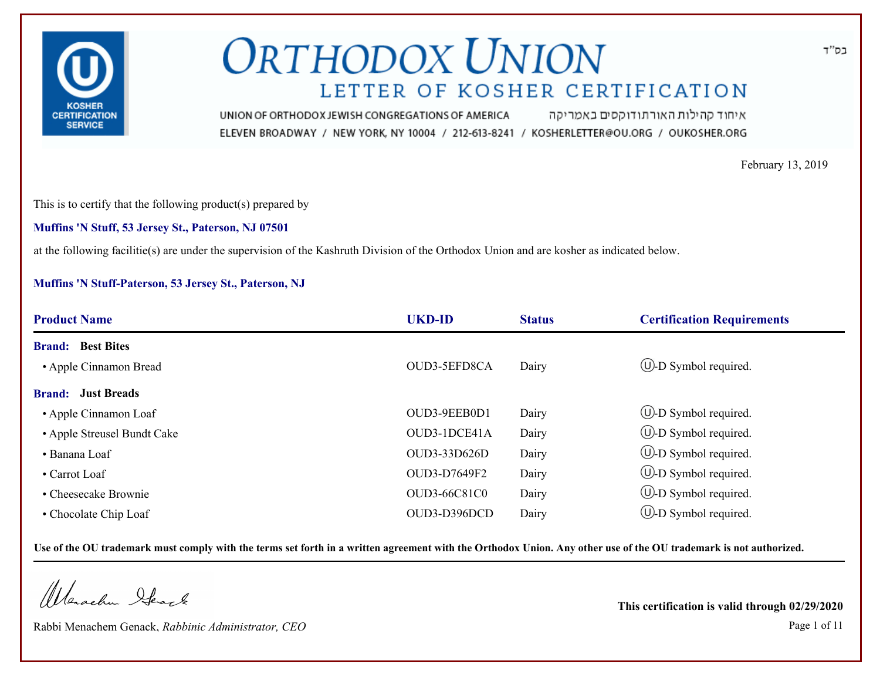

איחוד קהילות האורתודוקסים באמריקה UNION OF ORTHODOX JEWISH CONGREGATIONS OF AMERICA ELEVEN BROADWAY / NEW YORK, NY 10004 / 212-613-8241 / KOSHERLETTER@OU.ORG / OUKOSHER.ORG

February 13, 2019

This is to certify that the following product(s) prepared by

**Muffins 'N Stuff, 53 Jersey St., Paterson, NJ 07501**

at the following facilitie(s) are under the supervision of the Kashruth Division of the Orthodox Union and are kosher as indicated below.

#### **Muffins 'N Stuff-Paterson, 53 Jersey St., Paterson, NJ**

| <b>Product Name</b>         | <b>UKD-ID</b>       | <b>Status</b> | <b>Certification Requirements</b> |
|-----------------------------|---------------------|---------------|-----------------------------------|
| <b>Brand:</b> Best Bites    |                     |               |                                   |
| • Apple Cinnamon Bread      | OUD3-5EFD8CA        | Dairy         | $\cup$ -D Symbol required.        |
| <b>Brand:</b> Just Breads   |                     |               |                                   |
| • Apple Cinnamon Loaf       | OUD3-9EEB0D1        | Dairy         | $\circled{1}$ -D Symbol required. |
| • Apple Streusel Bundt Cake | OUD3-1DCE41A        | Dairy         | $\circled{1}$ -D Symbol required. |
| • Banana Loaf               | OUD3-33D626D        | Dairy         | $\circled{1}$ -D Symbol required. |
| $\bullet$ Carrot Loaf       | OUD3-D7649F2        | Dairy         | $\bigcup$ -D Symbol required.     |
| • Cheesecake Brownie        | <b>OUD3-66C81C0</b> | Dairy         | $\bigcirc$ -D Symbol required.    |
| • Chocolate Chip Loaf       | OUD3-D396DCD        | Dairy         | $\cup$ -D Symbol required.        |

**Use of the OU trademark must comply with the terms set forth in a written agreement with the Orthodox Union. Any other use of the OU trademark is not authorized.**

Warachen Ifearle

Rabbi Menachem Genack, *Rabbinic Administrator, CEO* Page 1 of 11

**This certification is valid through 02/29/2020**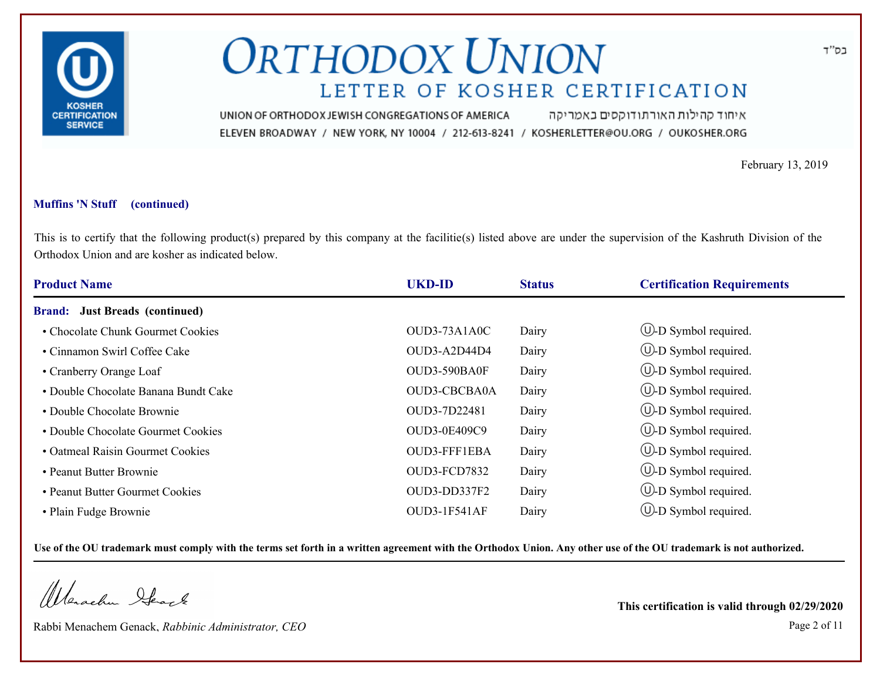

איחוד קהילות האורתודוקסים באמריקה UNION OF ORTHODOX JEWISH CONGREGATIONS OF AMERICA ELEVEN BROADWAY / NEW YORK, NY 10004 / 212-613-8241 / KOSHERLETTER@OU.ORG / OUKOSHER.ORG

February 13, 2019

### **Muffins 'N Stuff (continued)**

This is to certify that the following product(s) prepared by this company at the facilitie(s) listed above are under the supervision of the Kashruth Division of the Orthodox Union and are kosher as indicated below.

| <b>Product Name</b>                   | <b>UKD-ID</b>       | <b>Status</b> | <b>Certification Requirements</b> |
|---------------------------------------|---------------------|---------------|-----------------------------------|
| <b>Brand:</b> Just Breads (continued) |                     |               |                                   |
| • Chocolate Chunk Gourmet Cookies     | OUD3-73A1A0C        | Dairy         | $\circled{1}$ -D Symbol required. |
| • Cinnamon Swirl Coffee Cake          | OUD3-A2D44D4        | Dairy         | $\bigcup$ -D Symbol required.     |
| • Cranberry Orange Loaf               | OUD3-590BA0F        | Dairy         | $\circled{1}$ -D Symbol required. |
| • Double Chocolate Banana Bundt Cake  | <b>OUD3-CBCBA0A</b> | Dairy         | $\bigcup$ -D Symbol required.     |
| • Double Chocolate Brownie            | OUD3-7D22481        | Dairy         | $\cup$ -D Symbol required.        |
| • Double Chocolate Gourmet Cookies    | OUD3-0E409C9        | Dairy         | $\bigcup$ -D Symbol required.     |
| • Oatmeal Raisin Gourmet Cookies      | OUD3-FFF1EBA        | Dairy         | $\circled{1}$ -D Symbol required. |
| • Peanut Butter Brownie               | OUD3-FCD7832        | Dairy         | $\circled{1}$ -D Symbol required. |
| • Peanut Butter Gourmet Cookies       | OUD3-DD337F2        | Dairy         | $\bigcup$ -D Symbol required.     |
| • Plain Fudge Brownie                 | OUD3-1F541AF        | Dairy         | $(U)-D$ Symbol required.          |

**Use of the OU trademark must comply with the terms set forth in a written agreement with the Orthodox Union. Any other use of the OU trademark is not authorized.**

Werachen Ifearle

Rabbi Menachem Genack, *Rabbinic Administrator, CEO* Page 2 of 11

**This certification is valid through 02/29/2020**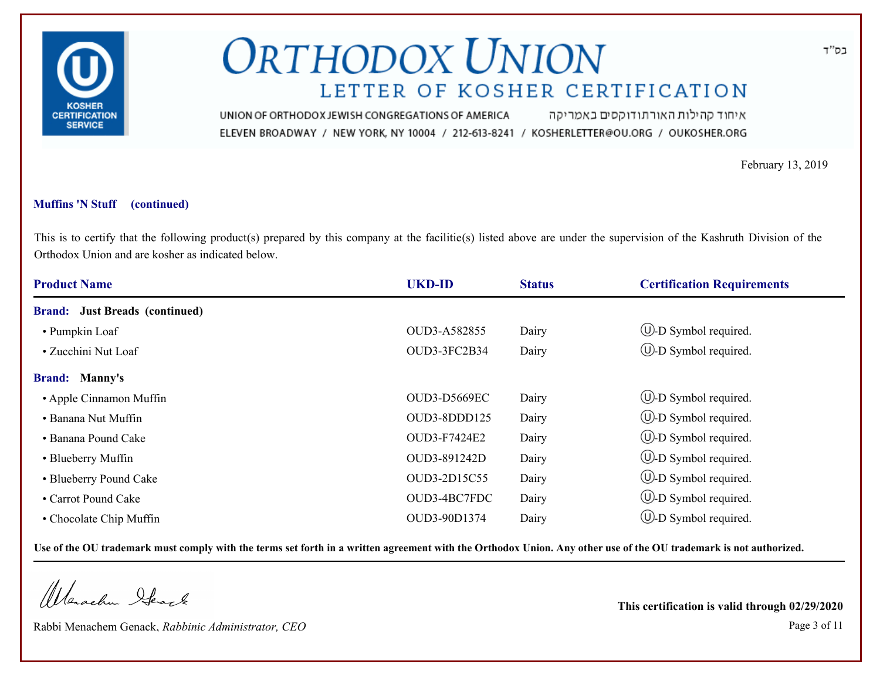

איחוד קהילות האורתודוקסים באמריקה UNION OF ORTHODOX JEWISH CONGREGATIONS OF AMERICA ELEVEN BROADWAY / NEW YORK, NY 10004 / 212-613-8241 / KOSHERLETTER@OU.ORG / OUKOSHER.ORG

February 13, 2019

### **Muffins 'N Stuff (continued)**

This is to certify that the following product(s) prepared by this company at the facilitie(s) listed above are under the supervision of the Kashruth Division of the Orthodox Union and are kosher as indicated below.

| <b>Product Name</b>                   | <b>UKD-ID</b> | <b>Status</b> | <b>Certification Requirements</b> |
|---------------------------------------|---------------|---------------|-----------------------------------|
| <b>Brand:</b> Just Breads (continued) |               |               |                                   |
| • Pumpkin Loaf                        | OUD3-A582855  | Dairy         | $\bigcup$ -D Symbol required.     |
| • Zucchini Nut Loaf                   | OUD3-3FC2B34  | Dairy         | $\bigcup$ -D Symbol required.     |
| <b>Brand: Manny's</b>                 |               |               |                                   |
| • Apple Cinnamon Muffin               | OUD3-D5669EC  | Dairy         | $\circled{1}$ -D Symbol required. |
| • Banana Nut Muffin                   | OUD3-8DDD125  | Dairy         | $\cup$ -D Symbol required.        |
| • Banana Pound Cake                   | OUD3-F7424E2  | Dairy         | $\cup$ -D Symbol required.        |
| • Blueberry Muffin                    | OUD3-891242D  | Dairy         | $\bigcup$ -D Symbol required.     |
| • Blueberry Pound Cake                | OUD3-2D15C55  | Dairy         | $\cup$ -D Symbol required.        |
| • Carrot Pound Cake                   | OUD3-4BC7FDC  | Dairy         | $\bigcup$ -D Symbol required.     |
| • Chocolate Chip Muffin               | OUD3-90D1374  | Dairy         | $(U)-D$ Symbol required.          |

**Use of the OU trademark must comply with the terms set forth in a written agreement with the Orthodox Union. Any other use of the OU trademark is not authorized.**

Werachen Ifearle

Rabbi Menachem Genack, *Rabbinic Administrator, CEO* Page 3 of 11

**This certification is valid through 02/29/2020**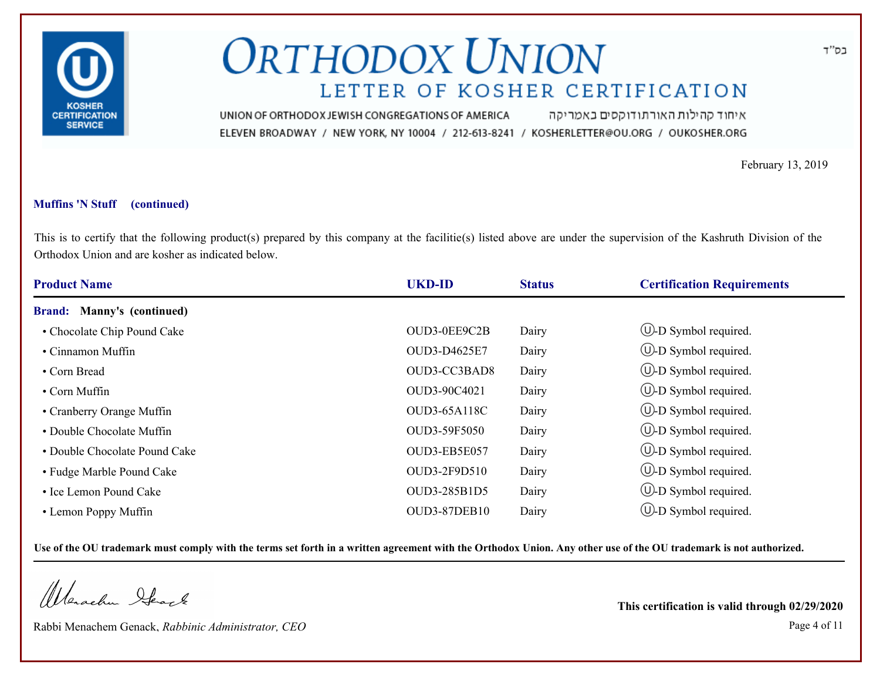

איחוד קהילות האורתודוקסים באמריקה UNION OF ORTHODOX JEWISH CONGREGATIONS OF AMERICA ELEVEN BROADWAY / NEW YORK, NY 10004 / 212-613-8241 / KOSHERLETTER@OU.ORG / OUKOSHER.ORG

February 13, 2019

### **Muffins 'N Stuff (continued)**

This is to certify that the following product(s) prepared by this company at the facilitie(s) listed above are under the supervision of the Kashruth Division of the Orthodox Union and are kosher as indicated below.

| <b>Product Name</b>               | <b>UKD-ID</b>       | <b>Status</b> | <b>Certification Requirements</b> |
|-----------------------------------|---------------------|---------------|-----------------------------------|
| <b>Brand: Manny's (continued)</b> |                     |               |                                   |
| • Chocolate Chip Pound Cake       | OUD3-0EE9C2B        | Dairy         | $\circled{1}$ -D Symbol required. |
| • Cinnamon Muffin                 | OUD3-D4625E7        | Dairy         | $\circled{1}$ -D Symbol required. |
| • Corn Bread                      | OUD3-CC3BAD8        | Dairy         | $\circled{1}$ -D Symbol required. |
| $\cdot$ Corn Muffin               | OUD3-90C4021        | Dairy         | $\bigcup$ -D Symbol required.     |
| • Cranberry Orange Muffin         | <b>OUD3-65A118C</b> | Dairy         | $\bigcup$ -D Symbol required.     |
| • Double Chocolate Muffin         | OUD3-59F5050        | Dairy         | $\cup$ -D Symbol required.        |
| • Double Chocolate Pound Cake     | OUD3-EB5E057        | Dairy         | $\circled{1}$ -D Symbol required. |
| • Fudge Marble Pound Cake         | OUD3-2F9D510        | Dairy         | $\bigcup$ -D Symbol required.     |
| • Ice Lemon Pound Cake            | OUD3-285B1D5        | Dairy         | $\circled{1}$ -D Symbol required. |
| • Lemon Poppy Muffin              | OUD3-87DEB10        | Dairy         | $(U)-D$ Symbol required.          |

**Use of the OU trademark must comply with the terms set forth in a written agreement with the Orthodox Union. Any other use of the OU trademark is not authorized.**

Werachen Ifearle

Rabbi Menachem Genack, *Rabbinic Administrator, CEO* Page 4 of 11

**This certification is valid through 02/29/2020**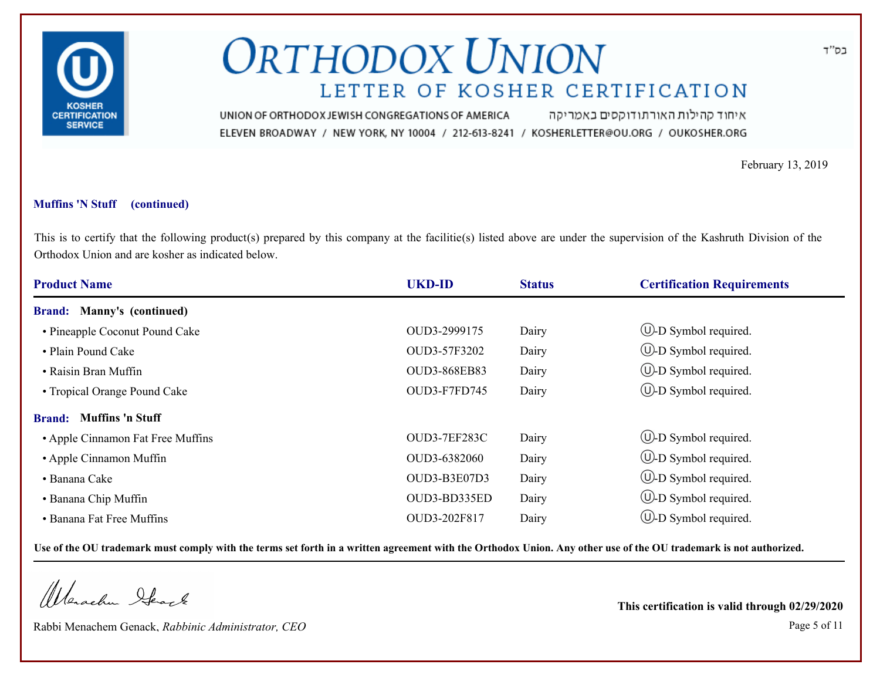

איחוד קהילות האורתודוקסים באמריקה UNION OF ORTHODOX JEWISH CONGREGATIONS OF AMERICA ELEVEN BROADWAY / NEW YORK, NY 10004 / 212-613-8241 / KOSHERLETTER@OU.ORG / OUKOSHER.ORG

February 13, 2019

### **Muffins 'N Stuff (continued)**

This is to certify that the following product(s) prepared by this company at the facilitie(s) listed above are under the supervision of the Kashruth Division of the Orthodox Union and are kosher as indicated below.

| <b>Product Name</b>                      | <b>UKD-ID</b> | <b>Status</b> | <b>Certification Requirements</b> |
|------------------------------------------|---------------|---------------|-----------------------------------|
| <b>Brand:</b> Manny's (continued)        |               |               |                                   |
| • Pineapple Coconut Pound Cake           | OUD3-2999175  | Dairy         | $\circled{1}$ -D Symbol required. |
| • Plain Pound Cake                       | OUD3-57F3202  | Dairy         | $\bigcup$ -D Symbol required.     |
| • Raisin Bran Muffin                     | OUD3-868EB83  | Dairy         | $\bigcup$ -D Symbol required.     |
| • Tropical Orange Pound Cake             | OUD3-F7FD745  | Dairy         | $\bigcup$ -D Symbol required.     |
| <b>Muffins 'n Stuff</b><br><b>Brand:</b> |               |               |                                   |
| • Apple Cinnamon Fat Free Muffins        | OUD3-7EF283C  | Dairy         | (U-D Symbol required.             |
| • Apple Cinnamon Muffin                  | OUD3-6382060  | Dairy         | $\bigcup$ -D Symbol required.     |
| • Banana Cake                            | OUD3-B3E07D3  | Dairy         | $\bigcup$ -D Symbol required.     |
| • Banana Chip Muffin                     | OUD3-BD335ED  | Dairy         | $\circled{1}$ -D Symbol required. |
| • Banana Fat Free Muffins                | OUD3-202F817  | Dairy         | (U)-D Symbol required.            |

**Use of the OU trademark must comply with the terms set forth in a written agreement with the Orthodox Union. Any other use of the OU trademark is not authorized.**

Werachen Ifearle

Rabbi Menachem Genack, *Rabbinic Administrator, CEO* Page 5 of 11

**This certification is valid through 02/29/2020**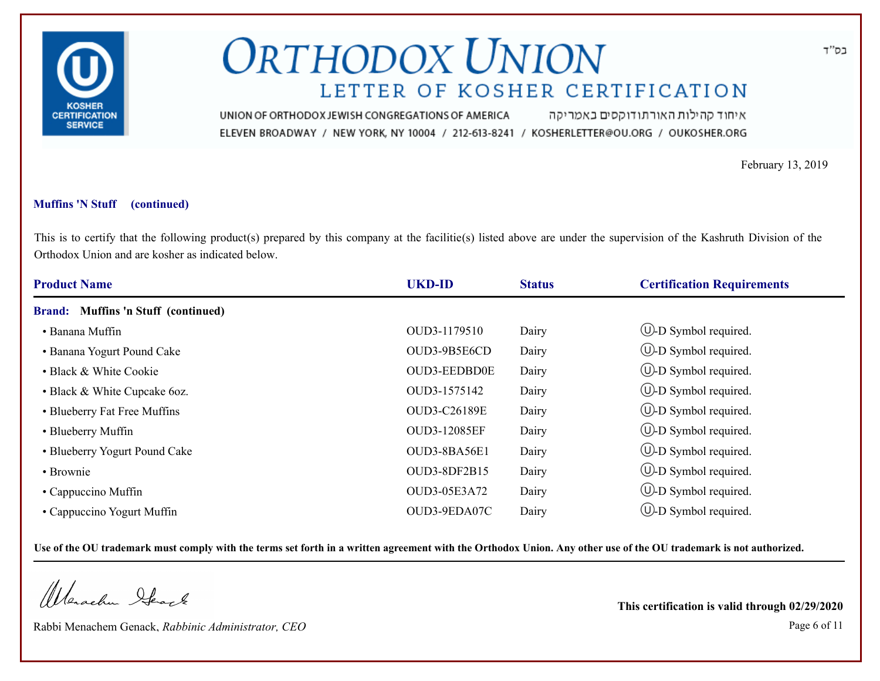

איחוד קהילות האורתודוקסים באמריקה UNION OF ORTHODOX JEWISH CONGREGATIONS OF AMERICA ELEVEN BROADWAY / NEW YORK, NY 10004 / 212-613-8241 / KOSHERLETTER@OU.ORG / OUKOSHER.ORG

February 13, 2019

### **Muffins 'N Stuff (continued)**

This is to certify that the following product(s) prepared by this company at the facilitie(s) listed above are under the supervision of the Kashruth Division of the Orthodox Union and are kosher as indicated below.

| <b>Product Name</b>                 | <b>UKD-ID</b>       | <b>Status</b> | <b>Certification Requirements</b> |
|-------------------------------------|---------------------|---------------|-----------------------------------|
| Brand: Muffins 'n Stuff (continued) |                     |               |                                   |
| • Banana Muffin                     | OUD3-1179510        | Dairy         | $\circled{1}$ -D Symbol required. |
| • Banana Yogurt Pound Cake          | OUD3-9B5E6CD        | Dairy         | $\circled{1}$ -D Symbol required. |
| • Black & White Cookie              | <b>OUD3-EEDBD0E</b> | Dairy         | $\bigcup$ -D Symbol required.     |
| • Black & White Cupcake 6oz.        | OUD3-1575142        | Dairy         | $\bigcup$ -D Symbol required.     |
| • Blueberry Fat Free Muffins        | <b>OUD3-C26189E</b> | Dairy         | $\bigcup$ -D Symbol required.     |
| • Blueberry Muffin                  | <b>OUD3-12085EF</b> | Dairy         | $(U)$ -D Symbol required.         |
| • Blueberry Yogurt Pound Cake       | OUD3-8BA56E1        | Dairy         | $\cup$ -D Symbol required.        |
| • Brownie                           | OUD3-8DF2B15        | Dairy         | (U-D Symbol required.             |
| • Cappuccino Muffin                 | OUD3-05E3A72        | Dairy         | $\circled{1}$ -D Symbol required. |
| • Cappuccino Yogurt Muffin          | OUD3-9EDA07C        | Dairy         | $(U)$ -D Symbol required.         |

**Use of the OU trademark must comply with the terms set forth in a written agreement with the Orthodox Union. Any other use of the OU trademark is not authorized.**

Werachen Ifearle

Rabbi Menachem Genack, *Rabbinic Administrator, CEO* Page 6 of 11

**This certification is valid through 02/29/2020**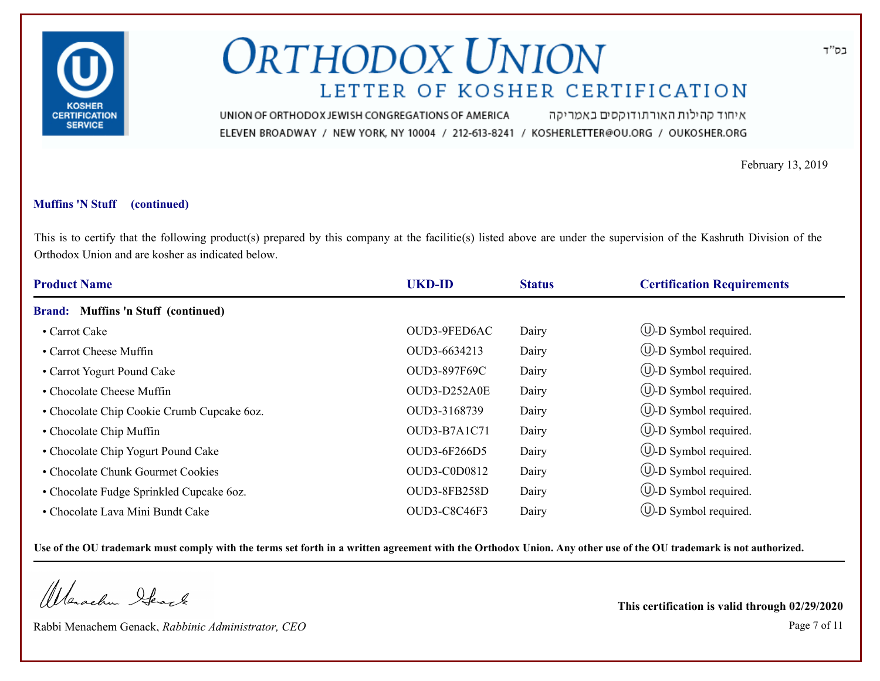

איחוד קהילות האורתודוקסים באמריקה UNION OF ORTHODOX JEWISH CONGREGATIONS OF AMERICA ELEVEN BROADWAY / NEW YORK, NY 10004 / 212-613-8241 / KOSHERLETTER@OU.ORG / OUKOSHER.ORG

February 13, 2019

### **Muffins 'N Stuff (continued)**

This is to certify that the following product(s) prepared by this company at the facilitie(s) listed above are under the supervision of the Kashruth Division of the Orthodox Union and are kosher as indicated below.

| <b>Product Name</b>                        | <b>UKD-ID</b> | <b>Status</b> | <b>Certification Requirements</b> |
|--------------------------------------------|---------------|---------------|-----------------------------------|
| Brand: Muffins 'n Stuff (continued)        |               |               |                                   |
| • Carrot Cake                              | OUD3-9FED6AC  | Dairy         | $\circled{1}$ -D Symbol required. |
| • Carrot Cheese Muffin                     | OUD3-6634213  | Dairy         | $\cup$ -D Symbol required.        |
| • Carrot Yogurt Pound Cake                 | OUD3-897F69C  | Dairy         | $\circled{1}$ -D Symbol required. |
| • Chocolate Cheese Muffin                  | OUD3-D252A0E  | Dairy         | $\bigcup$ -D Symbol required.     |
| • Chocolate Chip Cookie Crumb Cupcake 6oz. | OUD3-3168739  | Dairy         | $\circled{1}$ -D Symbol required. |
| • Chocolate Chip Muffin                    | OUD3-B7A1C71  | Dairy         | $\cup$ -D Symbol required.        |
| • Chocolate Chip Yogurt Pound Cake         | OUD3-6F266D5  | Dairy         | $\bigcirc$ -D Symbol required.    |
| • Chocolate Chunk Gourmet Cookies          | OUD3-C0D0812  | Dairy         | $\bigcup$ -D Symbol required.     |
| • Chocolate Fudge Sprinkled Cupcake 6oz.   | OUD3-8FB258D  | Dairy         | $(\cup)$ -D Symbol required.      |
| • Chocolate Lava Mini Bundt Cake           | OUD3-C8C46F3  | Dairy         | $\cup$ -D Symbol required.        |

**Use of the OU trademark must comply with the terms set forth in a written agreement with the Orthodox Union. Any other use of the OU trademark is not authorized.**

Werachen Ifearle

Rabbi Menachem Genack, *Rabbinic Administrator, CEO* Page 7 of 11

**This certification is valid through 02/29/2020**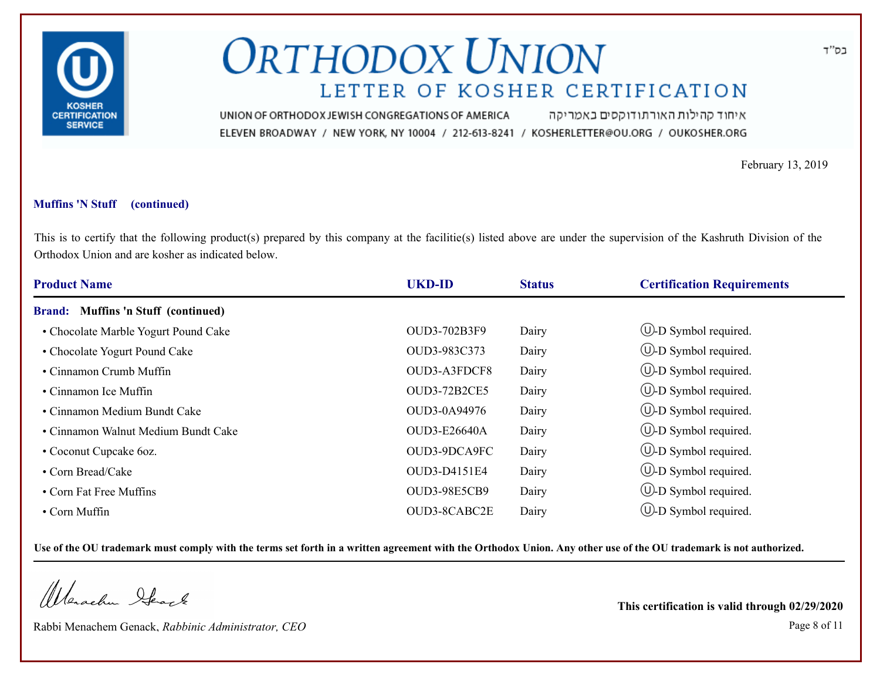

איחוד קהילות האורתודוקסים באמריקה UNION OF ORTHODOX JEWISH CONGREGATIONS OF AMERICA ELEVEN BROADWAY / NEW YORK, NY 10004 / 212-613-8241 / KOSHERLETTER@OU.ORG / OUKOSHER.ORG

February 13, 2019

### **Muffins 'N Stuff (continued)**

This is to certify that the following product(s) prepared by this company at the facilitie(s) listed above are under the supervision of the Kashruth Division of the Orthodox Union and are kosher as indicated below.

| <b>Product Name</b>                  | <b>UKD-ID</b>       | <b>Status</b> | <b>Certification Requirements</b> |
|--------------------------------------|---------------------|---------------|-----------------------------------|
| Brand: Muffins 'n Stuff (continued)  |                     |               |                                   |
| • Chocolate Marble Yogurt Pound Cake | OUD3-702B3F9        | Dairy         | $\circled{1}$ -D Symbol required. |
| • Chocolate Yogurt Pound Cake        | OUD3-983C373        | Dairy         | $\circled{1}$ -D Symbol required. |
| • Cinnamon Crumb Muffin              | OUD3-A3FDCF8        | Dairy         | $\circled{1}$ -D Symbol required. |
| • Cinnamon Ice Muffin                | <b>OUD3-72B2CE5</b> | Dairy         | $\bigcup$ -D Symbol required.     |
| • Cinnamon Medium Bundt Cake         | OUD3-0A94976        | Dairy         | $\cup$ -D Symbol required.        |
| • Cinnamon Walnut Medium Bundt Cake  | <b>OUD3-E26640A</b> | Dairy         | $\bigcup$ -D Symbol required.     |
| • Coconut Cupcake 6oz.               | OUD3-9DCA9FC        | Dairy         | $\bigcup$ -D Symbol required.     |
| • Corn Bread/Cake                    | OUD3-D4151E4        | Dairy         | $\circled{1}$ -D Symbol required. |
| • Corn Fat Free Muffins              | <b>OUD3-98E5CB9</b> | Dairy         | $\circled{1}$ -D Symbol required. |
| $\cdot$ Corn Muffin                  | OUD3-8CABC2E        | Dairy         | $(\cup)$ -D Symbol required.      |

**Use of the OU trademark must comply with the terms set forth in a written agreement with the Orthodox Union. Any other use of the OU trademark is not authorized.**

Werachen Ifearle

Rabbi Menachem Genack, *Rabbinic Administrator, CEO* Page 8 of 11

**This certification is valid through 02/29/2020**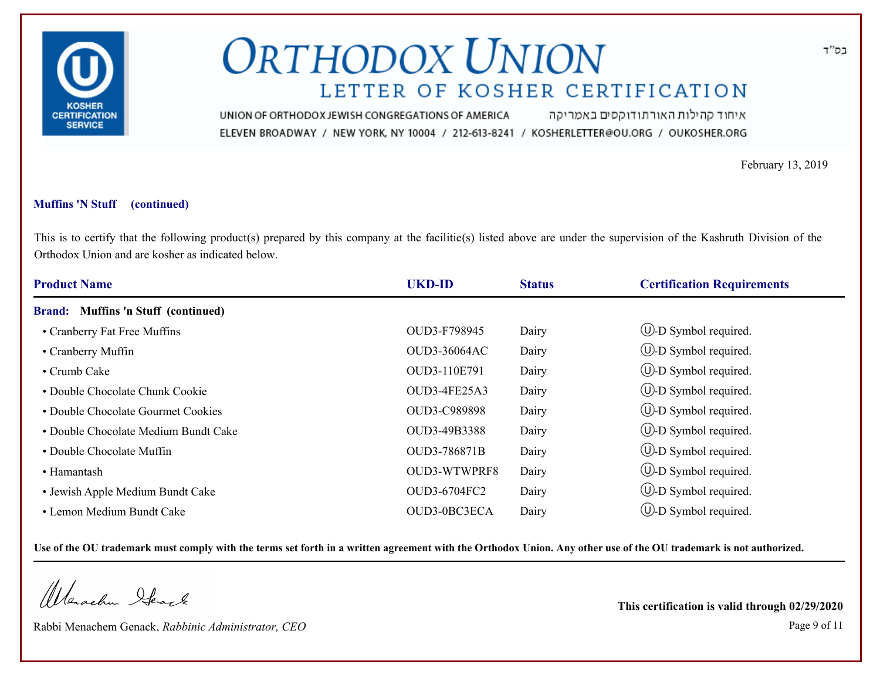

איחוד קהילות האורתודוקסים באמריקה UNION OF ORTHODOX JEWISH CONGREGATIONS OF AMERICA ELEVEN BROADWAY / NEW YORK, NY 10004 / 212-613-8241 / KOSHERLETTER@OU.ORG / OUKOSHER.ORG

February 13, 2019

### **Muffins 'N Stuff (continued)**

This is to certify that the following product(s) prepared by this company at the facilitie(s) listed above are under the supervision of the Kashruth Division of the Orthodox Union and are kosher as indicated below.

| <b>Product Name</b>                  | <b>UKD-ID</b>       | <b>Status</b> | <b>Certification Requirements</b> |
|--------------------------------------|---------------------|---------------|-----------------------------------|
| Brand: Muffins 'n Stuff (continued)  |                     |               |                                   |
| • Cranberry Fat Free Muffins         | OUD3-F798945        | Dairy         | $\circled{1}$ -D Symbol required. |
| • Cranberry Muffin                   | <b>OUD3-36064AC</b> | Dairy         | $\circled{1}$ -D Symbol required. |
| • Crumb Cake                         | OUD3-110E791        | Dairy         | $\bigcirc$ -D Symbol required.    |
| • Double Chocolate Chunk Cookie      | OUD3-4FE25A3        | Dairy         | $\cup$ -D Symbol required.        |
| • Double Chocolate Gourmet Cookies   | OUD3-C989898        | Dairy         | $\bigcup$ -D Symbol required.     |
| • Double Chocolate Medium Bundt Cake | OUD3-49B3388        | Dairy         | $\circled{1}$ -D Symbol required. |
| • Double Chocolate Muffin            | OUD3-786871B        | Dairy         | (U-D Symbol required.             |
| • Hamantash                          | OUD3-WTWPRF8        | Dairy         | $\circled{1}$ -D Symbol required. |
| • Jewish Apple Medium Bundt Cake     | OUD3-6704FC2        | Dairy         | $\circled{1}$ -D Symbol required. |
| • Lemon Medium Bundt Cake            | OUD3-0BC3ECA        | Dairy         | $(U)$ -D Symbol required.         |

**Use of the OU trademark must comply with the terms set forth in a written agreement with the Orthodox Union. Any other use of the OU trademark is not authorized.**

Werachen Ifearle

Rabbi Menachem Genack, *Rabbinic Administrator, CEO* Page 9 of 11

**This certification is valid through 02/29/2020**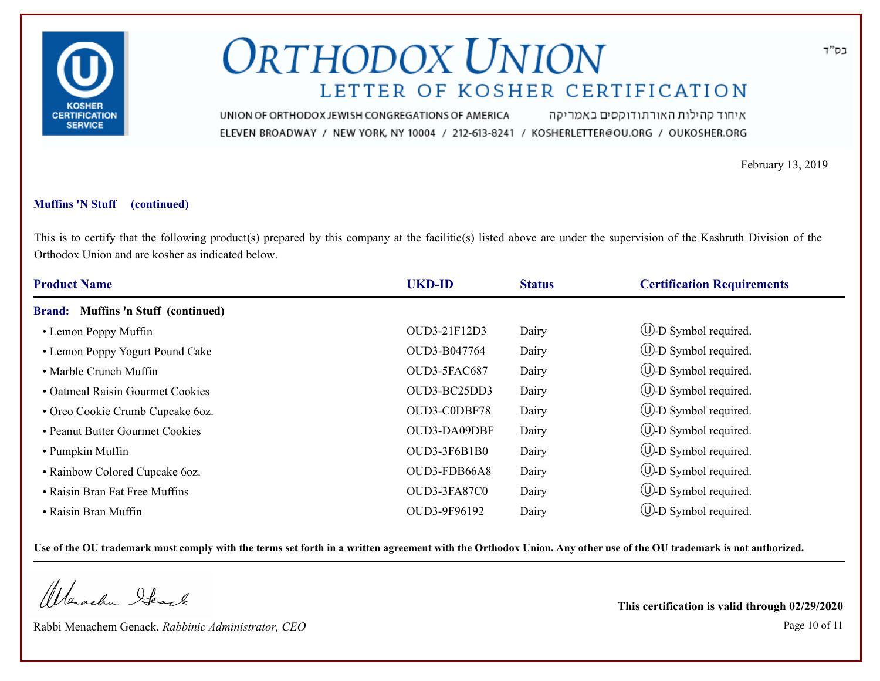

איחוד קהילות האורתודוקסים באמריקה UNION OF ORTHODOX JEWISH CONGREGATIONS OF AMERICA ELEVEN BROADWAY / NEW YORK, NY 10004 / 212-613-8241 / KOSHERLETTER@OU.ORG / OUKOSHER.ORG

February 13, 2019

### **Muffins 'N Stuff (continued)**

This is to certify that the following product(s) prepared by this company at the facilitie(s) listed above are under the supervision of the Kashruth Division of the Orthodox Union and are kosher as indicated below.

| <b>Product Name</b>                 | <b>UKD-ID</b> | <b>Status</b> | <b>Certification Requirements</b> |
|-------------------------------------|---------------|---------------|-----------------------------------|
| Brand: Muffins 'n Stuff (continued) |               |               |                                   |
| • Lemon Poppy Muffin                | OUD3-21F12D3  | Dairy         | $\circled{1}$ -D Symbol required. |
| • Lemon Poppy Yogurt Pound Cake     | OUD3-B047764  | Dairy         | $\circled{1}$ -D Symbol required. |
| • Marble Crunch Muffin              | OUD3-5FAC687  | Dairy         | $\circled{1}$ -D Symbol required. |
| • Oatmeal Raisin Gourmet Cookies    | OUD3-BC25DD3  | Dairy         | (U-D Symbol required.             |
| • Oreo Cookie Crumb Cupcake 6oz.    | OUD3-C0DBF78  | Dairy         | $\bigcup$ -D Symbol required.     |
| • Peanut Butter Gourmet Cookies     | OUD3-DA09DBF  | Dairy         | $\bigcup$ -D Symbol required.     |
| • Pumpkin Muffin                    | OUD3-3F6B1B0  | Dairy         | $\circled{1}$ -D Symbol required. |
| • Rainbow Colored Cupcake 6oz.      | OUD3-FDB66A8  | Dairy         | $\circled{1}$ -D Symbol required. |
| • Raisin Bran Fat Free Muffins      | OUD3-3FA87C0  | Dairy         | $\circled{1}$ -D Symbol required. |
| • Raisin Bran Muffin                | OUD3-9F96192  | Dairy         | $(U)$ -D Symbol required.         |

**Use of the OU trademark must comply with the terms set forth in a written agreement with the Orthodox Union. Any other use of the OU trademark is not authorized.**

Werachen Ifearle

Rabbi Menachem Genack, *Rabbinic Administrator, CEO* Page 10 of 11

**This certification is valid through 02/29/2020**